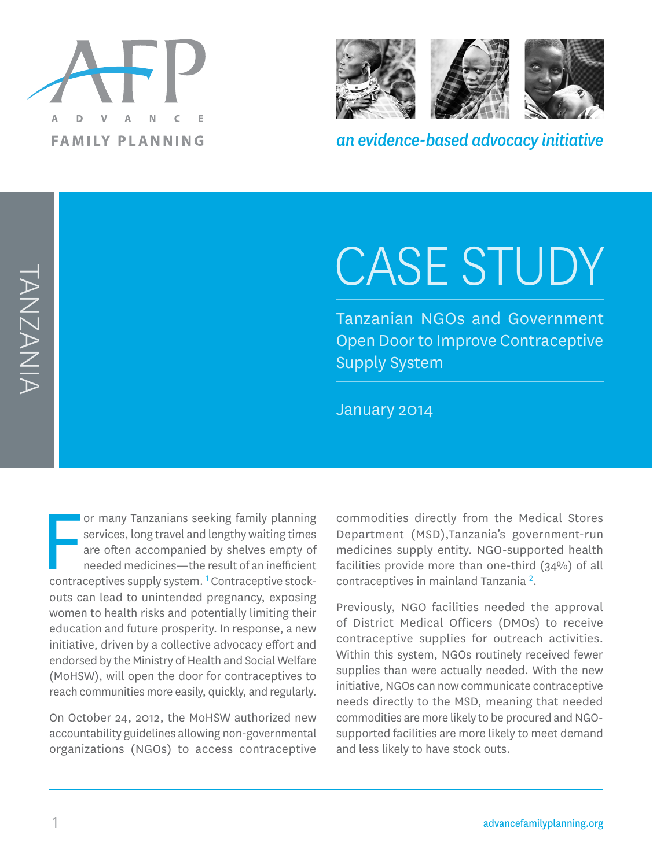



*an evidence-based advocacy initiative*

# CASE STUDY

Tanzanian NGOs and Government Open Door to Improve Contraceptive Supply System

January 2014

or many Tanzanians seeking family planning<br>services, long travel and lengthy waiting times<br>are often accompanied by shelves empty of<br>needed medicines—the result of an inefficient<br>contraceptives supply system. <sup>1</sup> Contracep or many Tanzanians seeking family planning services, long travel and lengthy waiting times are often accompanied by shelves empty of needed medicines—the result of an inefficient outs can lead to unintended pregnancy, exposing women to health risks and potentially limiting their education and future prosperity. In response, a new initiative, driven by a collective advocacy effort and endorsed by the Ministry of Health and Social Welfare (MoHSW), will open the door for contraceptives to reach communities more easily, quickly, and regularly.

On October 24, 2012, the MoHSW authorized new accountability guidelines allowing non-governmental organizations (NGOs) to access contraceptive commodities directly from the Medical Stores Department (MSD),Tanzania's government-run medicines supply entity. NGO-supported health facilities provide more than one-third (34%) of all contraceptives in mainland Tanzania<sup>2</sup>.

Previously, NGO facilities needed the approval of District Medical Officers (DMOs) to receive contraceptive supplies for outreach activities. Within this system, NGOs routinely received fewer supplies than were actually needed. With the new initiative, NGOs can now communicate contraceptive needs directly to the MSD, meaning that needed commodities are more likely to be procured and NGOsupported facilities are more likely to meet demand and less likely to have stock outs.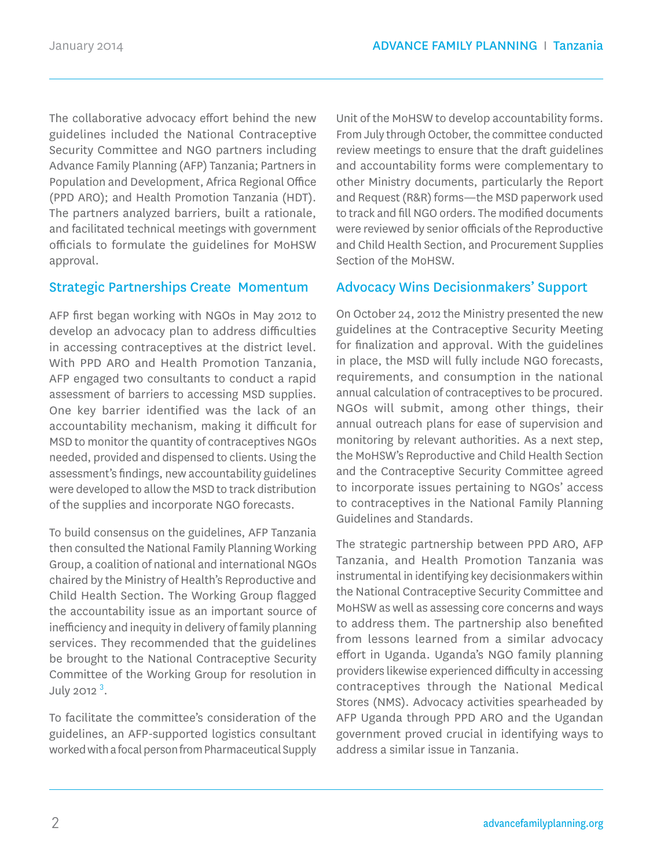The collaborative advocacy effort behind the new guidelines included the National Contraceptive Security Committee and NGO partners including Advance Family Planning (AFP) Tanzania; Partners in Population and Development, Africa Regional Office (PPD ARO); and Health Promotion Tanzania (HDT). The partners analyzed barriers, built a rationale, and facilitated technical meetings with government officials to formulate the guidelines for MoHSW approval.

#### Strategic Partnerships Create Momentum

AFP first began working with NGOs in May 2012 to develop an advocacy plan to address difficulties in accessing contraceptives at the district level. With PPD ARO and Health Promotion Tanzania, AFP engaged two consultants to conduct a rapid assessment of barriers to accessing MSD supplies. One key barrier identified was the lack of an accountability mechanism, making it difficult for MSD to monitor the quantity of contraceptives NGOs needed, provided and dispensed to clients. Using the assessment's findings, new accountability guidelines were developed to allow the MSD to track distribution of the supplies and incorporate NGO forecasts.

To build consensus on the guidelines, AFP Tanzania then consulted the National Family Planning Working Group, a coalition of national and international NGOs chaired by the Ministry of Health's Reproductive and Child Health Section. The Working Group flagged the accountability issue as an important source of inefficiency and inequity in delivery of family planning services. They recommended that the guidelines be brought to the National Contraceptive Security Committee of the Working Group for resolution in July 2012<sup>3</sup>.

To facilitate the committee's consideration of the guidelines, an AFP-supported logistics consultant worked with a focal person from Pharmaceutical Supply

Unit of the MoHSW to develop accountability forms. From July through October, the committee conducted review meetings to ensure that the draft guidelines and accountability forms were complementary to other Ministry documents, particularly the Report and Request (R&R) forms—the MSD paperwork used to track and fill NGO orders. The modified documents were reviewed by senior officials of the Reproductive and Child Health Section, and Procurement Supplies Section of the MoHSW.

#### Advocacy Wins Decisionmakers' Support

On October 24, 2012 the Ministry presented the new guidelines at the Contraceptive Security Meeting for finalization and approval. With the guidelines in place, the MSD will fully include NGO forecasts, requirements, and consumption in the national annual calculation of contraceptives to be procured. NGOs will submit, among other things, their annual outreach plans for ease of supervision and monitoring by relevant authorities. As a next step, the MoHSW's Reproductive and Child Health Section and the Contraceptive Security Committee agreed to incorporate issues pertaining to NGOs' access to contraceptives in the National Family Planning Guidelines and Standards.

The strategic partnership between PPD ARO, AFP Tanzania, and Health Promotion Tanzania was instrumental in identifying key decisionmakers within the National Contraceptive Security Committee and MoHSW as well as assessing core concerns and ways to address them. The partnership also benefited from lessons learned from a similar advocacy effort in Uganda. Uganda's NGO family planning providers likewise experienced difficulty in accessing contraceptives through the National Medical Stores (NMS). Advocacy activities spearheaded by AFP Uganda through PPD ARO and the Ugandan government proved crucial in identifying ways to address a similar issue in Tanzania.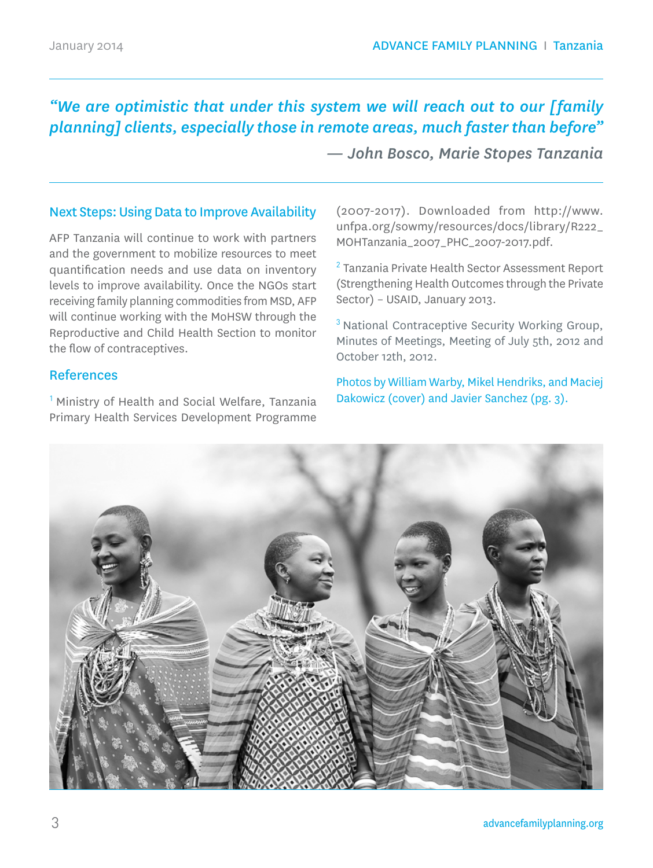# *"We are optimistic that under this system we will reach out to our [family planning] clients, especially those in remote areas, much faster than before"*

 *— John Bosco, Marie Stopes Tanzania*

#### Next Steps: Using Data to Improve Availability

AFP Tanzania will continue to work with partners and the government to mobilize resources to meet quantification needs and use data on inventory levels to improve availability. Once the NGOs start receiving family planning commodities from MSD, AFP will continue working with the MoHSW through the Reproductive and Child Health Section to monitor the flow of contraceptives.

#### References

<sup>1</sup> Ministry of Health and Social Welfare, Tanzania Primary Health Services Development Programme

(2007-2017). Downloaded from http://www. unfpa.org/sowmy/resources/docs/library/R222\_ MOHTanzania\_2007\_PHC\_2007-2017.pdf.

<sup>2</sup>Tanzania Private Health Sector Assessment Report (Strengthening Health Outcomes through the Private Sector) – USAID, January 2013.

<sup>3</sup> National Contraceptive Security Working Group, Minutes of Meetings, Meeting of July 5th, 2012 and October 12th, 2012.

Photos by William Warby, Mikel Hendriks, and Maciej Dakowicz (cover) and Javier Sanchez (pg. 3).